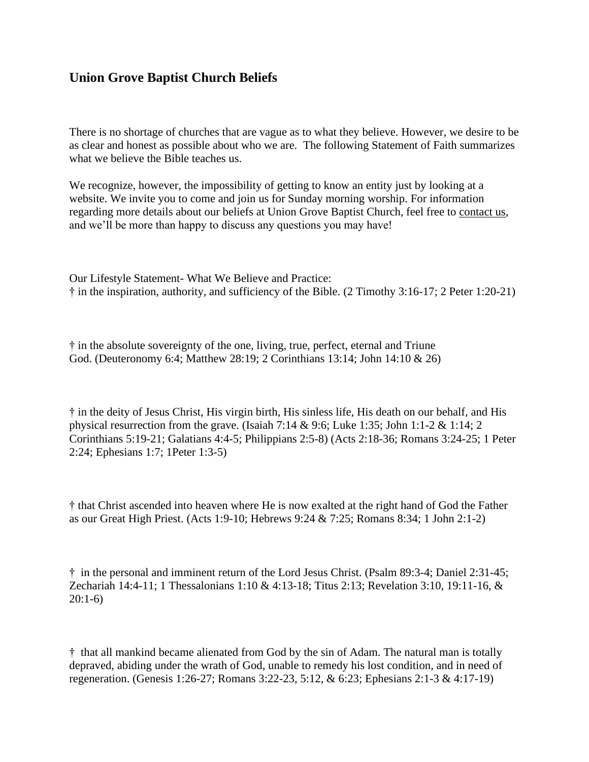## **Union Grove Baptist Church Beliefs**

There is no shortage of churches that are vague as to what they believe. However, we desire to be as clear and honest as possible about who we are. The following Statement of Faith summarizes what we believe the Bible teaches us.

We recognize, however, the impossibility of getting to know an entity just by looking at a website. We invite you to come and join us for Sunday morning worship. For information regarding more details about our beliefs at Union Grove Baptist Church, feel free to contact us, and we'll be more than happy to discuss any questions you may have!

Our Lifestyle Statement- What We Believe and Practice: † in the inspiration, authority, and sufficiency of the Bible. (2 Timothy 3:16-17; 2 Peter 1:20-21)

† in the absolute sovereignty of the one, living, true, perfect, eternal and Triune God. (Deuteronomy 6:4; Matthew 28:19; 2 Corinthians 13:14; John 14:10 & 26)

† in the deity of Jesus Christ, His virgin birth, His sinless life, His death on our behalf, and His physical resurrection from the grave. (Isaiah 7:14 & 9:6; Luke 1:35; John 1:1-2 & 1:14; 2 Corinthians 5:19-21; Galatians 4:4-5; Philippians 2:5-8) (Acts 2:18-36; Romans 3:24-25; 1 Peter 2:24; Ephesians 1:7; 1Peter 1:3-5)

† that Christ ascended into heaven where He is now exalted at the right hand of God the Father as our Great High Priest. (Acts 1:9-10; Hebrews 9:24 & 7:25; Romans 8:34; 1 John 2:1-2)

† in the personal and imminent return of the Lord Jesus Christ. (Psalm 89:3-4; Daniel 2:31-45; Zechariah 14:4-11; 1 Thessalonians 1:10 & 4:13-18; Titus 2:13; Revelation 3:10, 19:11-16, & 20:1-6)

† that all mankind became alienated from God by the sin of Adam. The natural man is totally depraved, abiding under the wrath of God, unable to remedy his lost condition, and in need of regeneration. (Genesis 1:26-27; Romans 3:22-23, 5:12, & 6:23; Ephesians 2:1-3 & 4:17-19)